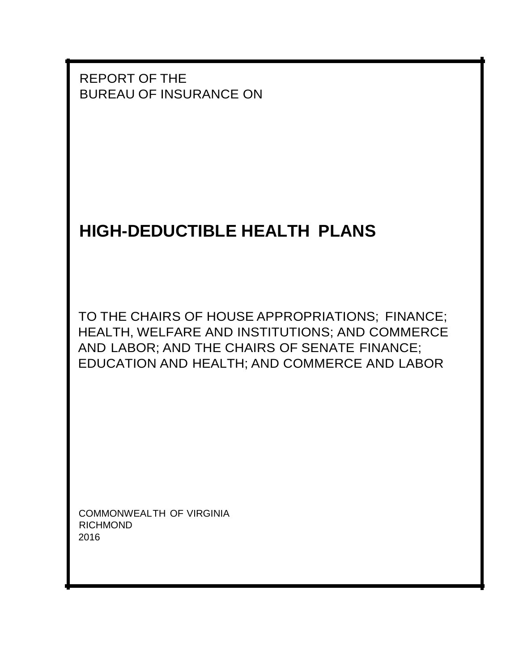REPORT OF THE BUREAU OF INSURANCE ON

# **HIGH-DEDUCTIBLE HEALTH PLANS**

TO THE CHAIRS OF HOUSE APPROPRIATIONS; FINANCE; HEALTH, WELFARE AND INSTITUTIONS; AND COMMERCE AND LABOR; AND THE CHAIRS OF SENATE FINANCE; EDUCATION AND HEALTH; AND COMMERCE AND LABOR

COMMONWEALTH OF VIRGINIA RICHMOND 2016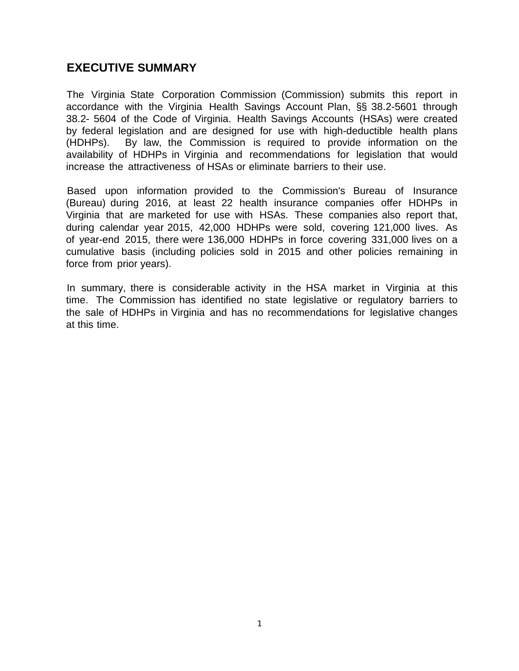## **EXECUTIVE SUMMARY**

The Virginia State Corporation Commission (Commission) submits this report in accordance with the Virginia Health Savings Account Plan, §§ 38.2-5601 through 38.2- 5604 of the Code of Virginia. Health Savings Accounts (HSAs) were created by federal legislation and are designed for use with high-deductible health plans (HDHPs). By law, the Commission is required to provide information on the availability of HDHPs in Virginia and recommendations for legislation that would increase the attractiveness of HSAs or eliminate barriers to their use.

Based upon information provided to the Commission's Bureau of Insurance (Bureau) during 2016, at least 22 health insurance companies offer HDHPs in Virginia that are marketed for use with HSAs. These companies also report that, during calendar year 2015, 42,000 HDHPs were sold, covering 121,000 lives. As of year-end 2015, there were 136,000 HDHPs in force covering 331,000 lives on a cumulative basis (including policies sold in 2015 and other policies remaining in force from prior years).

In summary, there is considerable activity in the HSA market in Virginia at this time. The Commission has identified no state legislative or regulatory barriers to the sale of HDHPs in Virginia and has no recommendations for legislative changes at this time.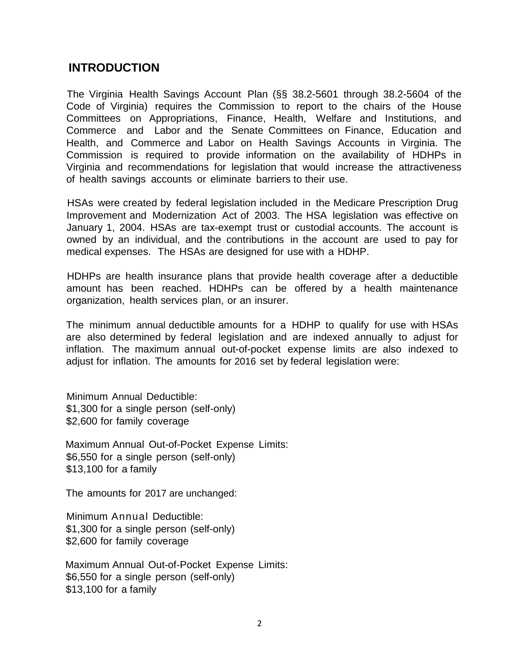## **INTRODUCTION**

The Virginia Health Savings Account Plan (§§ 38.2-5601 through 38.2-5604 of the Code of Virginia) requires the Commission to report to the chairs of the House Committees on Appropriations, Finance, Health, Welfare and Institutions, and Commerce and Labor and the Senate Committees on Finance, Education and Health, and Commerce and Labor on Health Savings Accounts in Virginia. The Commission is required to provide information on the availability of HDHPs in Virginia and recommendations for legislation that would increase the attractiveness of health savings accounts or eliminate barriers to their use.

HSAs were created by federal legislation included in the Medicare Prescription Drug Improvement and Modernization Act of 2003. The HSA legislation was effective on January 1, 2004. HSAs are tax-exempt trust or custodial accounts. The account is owned by an individual, and the contributions in the account are used to pay for medical expenses. The HSAs are designed for use with a HDHP.

HDHPs are health insurance plans that provide health coverage after a deductible amount has been reached. HDHPs can be offered by a health maintenance organization, health services plan, or an insurer.

The minimum annual deductible amounts for a HDHP to qualify for use with HSAs are also determined by federal legislation and are indexed annually to adjust for inflation. The maximum annual out-of-pocket expense limits are also indexed to adjust for inflation. The amounts for 2016 set by federal legislation were:

Minimum Annual Deductible: \$1,300 for a single person (self-only) \$2,600 for family coverage

Maximum Annual Out-of-Pocket Expense Limits: \$6,550 for a single person (self-only) \$13,100 for a family

The amounts for 2017 are unchanged:

Minimum Annual Deductible: \$1,300 for a single person (self-only) \$2,600 for family coverage

Maximum Annual Out-of-Pocket Expense Limits: \$6,550 for a single person (self-only) \$13,100 for a family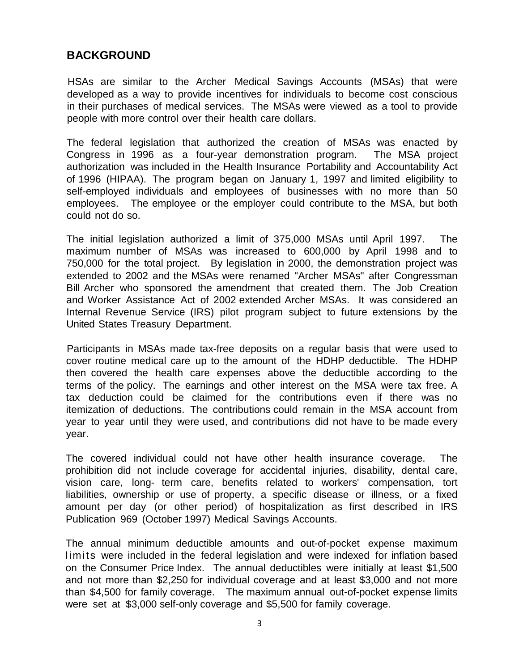## **BACKGROUND**

HSAs are similar to the Archer Medical Savings Accounts (MSAs) that were developed as a way to provide incentives for individuals to become cost conscious in their purchases of medical services. The MSAs were viewed as a tool to provide people with more control over their health care dollars.

The federal legislation that authorized the creation of MSAs was enacted by Congress in 1996 as a four-year demonstration program. The MSA project authorization was included in the Health Insurance Portability and Accountability Act of 1996 (HIPAA). The program began on January 1, 1997 and limited eligibility to self-employed individuals and employees of businesses with no more than 50 employees. The employee or the employer could contribute to the MSA, but both could not do so.

The initial legislation authorized a limit of 375,000 MSAs until April 1997. The maximum number of MSAs was increased to 600,000 by April 1998 and to 750,000 for the total project. By legislation in 2000, the demonstration project was extended to 2002 and the MSAs were renamed "Archer MSAs" after Congressman Bill Archer who sponsored the amendment that created them. The Job Creation and Worker Assistance Act of 2002 extended Archer MSAs. It was considered an Internal Revenue Service (IRS) pilot program subject to future extensions by the United States Treasury Department.

Participants in MSAs made tax-free deposits on a regular basis that were used to cover routine medical care up to the amount of the HDHP deductible. The HDHP then covered the health care expenses above the deductible according to the terms of the policy. The earnings and other interest on the MSA were tax free. A tax deduction could be claimed for the contributions even if there was no itemization of deductions. The contributions could remain in the MSA account from year to year until they were used, and contributions did not have to be made every year.

The covered individual could not have other health insurance coverage. The prohibition did not include coverage for accidental injuries, disability, dental care, vision care, long- term care, benefits related to workers' compensation, tort liabilities, ownership or use of property, a specific disease or illness, or a fixed amount per day (or other period) of hospitalization as first described in IRS Publication 969 (October 1997) Medical Savings Accounts.

The annual minimum deductible amounts and out-of-pocket expense maximum limits were included in the federal legislation and were indexed for inflation based on the Consumer Price Index. The annual deductibles were initially at least \$1,500 and not more than \$2,250 for individual coverage and at least \$3,000 and not more than \$4,500 for family coverage. The maximum annual out-of-pocket expense limits were set at \$3,000 self-only coverage and \$5,500 for family coverage.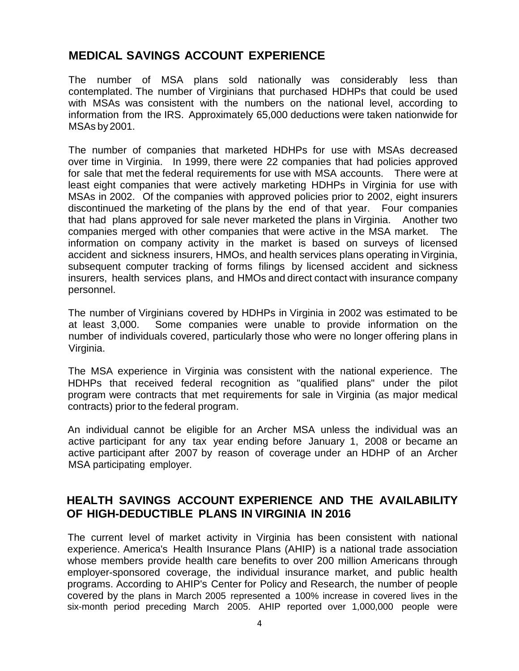# **MEDICAL SAVINGS ACCOUNT EXPERIENCE**

The number of MSA plans sold nationally was considerably less than contemplated. The number of Virginians that purchased HDHPs that could be used with MSAs was consistent with the numbers on the national level, according to information from the IRS. Approximately 65,000 deductions were taken nationwide for MSAs by2001.

The number of companies that marketed HDHPs for use with MSAs decreased over time in Virginia. In 1999, there were 22 companies that had policies approved for sale that met the federal requirements for use with MSA accounts. There were at least eight companies that were actively marketing HDHPs in Virginia for use with MSAs in 2002. Of the companies with approved policies prior to 2002, eight insurers discontinued the marketing of the plans by the end of that year. Four companies that had plans approved for sale never marketed the plans in Virginia. Another two companies merged with other companies that were active in the MSA market. The information on company activity in the market is based on surveys of licensed accident and sickness insurers, HMOs, and health services plans operating inVirginia, subsequent computer tracking of forms filings by licensed accident and sickness insurers, health services plans, and HMOs and direct contact with insurance company personnel.

The number of Virginians covered by HDHPs in Virginia in 2002 was estimated to be at least 3,000. Some companies were unable to provide information on the number of individuals covered, particularly those who were no longer offering plans in Virginia.

The MSA experience in Virginia was consistent with the national experience. The HDHPs that received federal recognition as "qualified plans" under the pilot program were contracts that met requirements for sale in Virginia (as major medical contracts) prior to the federal program.

An individual cannot be eligible for an Archer MSA unless the individual was an active participant for any tax year ending before January 1, 2008 or became an active participant after 2007 by reason of coverage under an HDHP of an Archer MSA participating employer.

## **HEALTH SAVINGS ACCOUNT EXPERIENCE AND THE AVAILABILITY OF HIGH-DEDUCTIBLE PLANS IN VIRGINIA IN 2016**

The current level of market activity in Virginia has been consistent with national experience. America's Health Insurance Plans (AHIP) is a national trade association whose members provide health care benefits to over 200 million Americans through employer-sponsored coverage, the individual insurance market, and public health programs. According to AHIP's Center for Policy and Research, the number of people covered by the plans in March 2005 represented a 100% increase in covered lives in the six-month period preceding March 2005. AHIP reported over 1,000,000 people were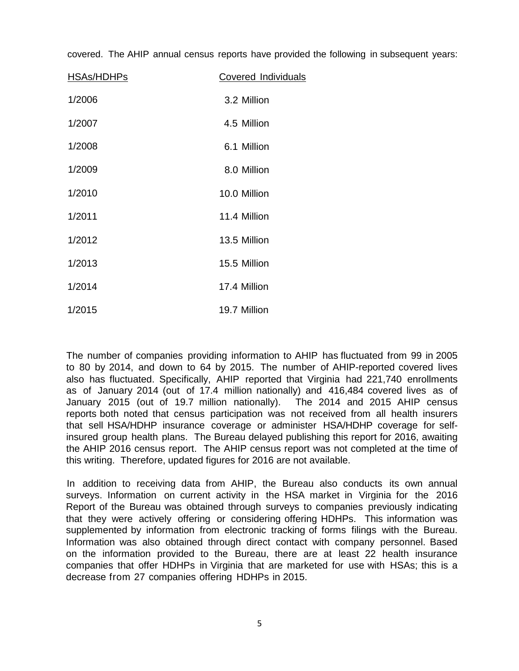covered. The AHIP annual census reports have provided the following in subsequent years:

| HSAs/HDHPs | Covered Individuals |  |
|------------|---------------------|--|
| 1/2006     | 3.2 Million         |  |
| 1/2007     | 4.5 Million         |  |
| 1/2008     | 6.1 Million         |  |
| 1/2009     | 8.0 Million         |  |
| 1/2010     | 10.0 Million        |  |
| 1/2011     | 11.4 Million        |  |
| 1/2012     | 13.5 Million        |  |
| 1/2013     | 15.5 Million        |  |
| 1/2014     | 17.4 Million        |  |
| 1/2015     | 19.7 Million        |  |

The number of companies providing information to AHIP has fluctuated from 99 in 2005 to 80 by 2014, and down to 64 by 2015. The number of AHIP-reported covered lives also has fluctuated. Specifically, AHIP reported that Virginia had 221,740 enrollments as of January 2014 (out of 17.4 million nationally) and 416,484 covered lives as of January 2015 (out of 19.7 million nationally). The 2014 and 2015 AHIP census reports both noted that census participation was not received from all health insurers that sell HSA/HDHP insurance coverage or administer HSA/HDHP coverage for selfinsured group health plans. The Bureau delayed publishing this report for 2016, awaiting the AHIP 2016 census report. The AHIP census report was not completed at the time of this writing. Therefore, updated figures for 2016 are not available.

In addition to receiving data from AHIP, the Bureau also conducts its own annual surveys. Information on current activity in the HSA market in Virginia for the 2016 Report of the Bureau was obtained through surveys to companies previously indicating that they were actively offering or considering offering HDHPs. This information was supplemented by information from electronic tracking of forms filings with the Bureau. Information was also obtained through direct contact with company personnel. Based on the information provided to the Bureau, there are at least 22 health insurance companies that offer HDHPs in Virginia that are marketed for use with HSAs; this is a decrease from 27 companies offering HDHPs in 2015.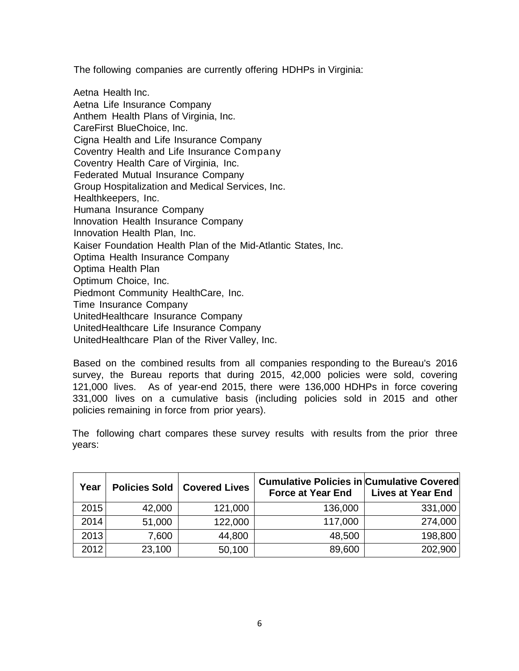The following companies are currently offering HDHPs in Virginia:

Aetna Health Inc. Aetna Life Insurance Company Anthem Health Plans of Virginia, Inc. CareFirst BlueChoice, Inc. Cigna Health and Life Insurance Company Coventry Health and Life Insurance Company Coventry Health Care of Virginia, Inc. Federated Mutual Insurance Company Group Hospitalization and Medical Services, Inc. Healthkeepers, Inc. Humana Insurance Company lnnovation Health Insurance Company Innovation Health Plan, Inc. Kaiser Foundation Health Plan of the Mid-Atlantic States, Inc. Optima Health Insurance Company Optima Health Plan Optimum Choice, Inc. Piedmont Community HealthCare, Inc. Time Insurance Company UnitedHealthcare Insurance Company UnitedHealthcare Life Insurance Company UnitedHealthcare Plan of the River Valley, Inc.

Based on the combined results from all companies responding to the Bureau's 2016 survey, the Bureau reports that during 2015, 42,000 policies were sold, covering 121,000 lives. As of year-end 2015, there were 136,000 HDHPs in force covering 331,000 lives on a cumulative basis (including policies sold in 2015 and other policies remaining in force from prior years).

The following chart compares these survey results with results from the prior three years:

| Year | <b>Policies Sold</b> | <b>Covered Lives</b> | <b>Cumulative Policies in Cumulative Covered</b><br><b>Force at Year End</b> | <b>Lives at Year End</b> |
|------|----------------------|----------------------|------------------------------------------------------------------------------|--------------------------|
| 2015 | 42,000               | 121,000              | 136,000                                                                      | 331,000                  |
| 2014 | 51,000               | 122,000              | 117,000                                                                      | 274,000                  |
| 2013 | 7,600                | 44,800               | 48,500                                                                       | 198,800                  |
| 2012 | 23,100               | 50,100               | 89,600                                                                       | 202,900                  |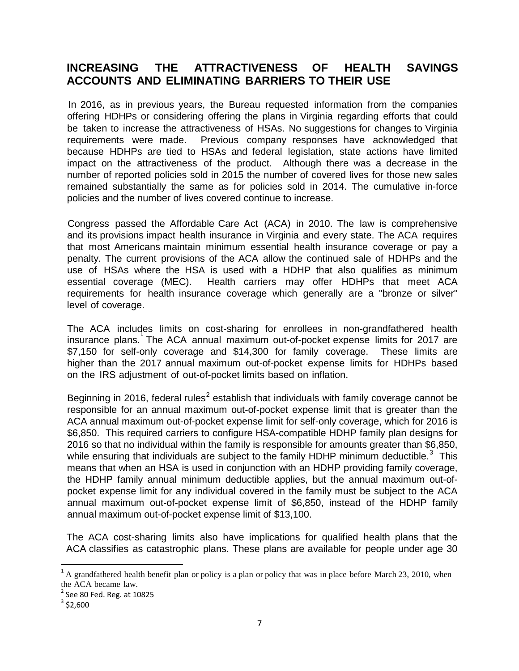## **INCREASING THE ATTRACTIVENESS OF HEALTH SAVINGS ACCOUNTS AND ELIMINATING BARRIERS TO THEIR USE**

In 2016, as in previous years, the Bureau requested information from the companies offering HDHPs or considering offering the plans in Virginia regarding efforts that could be taken to increase the attractiveness of HSAs. No suggestions for changes to Virginia requirements were made. Previous company responses have acknowledged that because HDHPs are tied to HSAs and federal legislation, state actions have limited impact on the attractiveness of the product. Although there was a decrease in the number of reported policies sold in 2015 the number of covered lives for those new sales remained substantially the same as for policies sold in 2014. The cumulative in-force policies and the number of lives covered continue to increase.

Congress passed the Affordable Care Act (ACA) in 2010. The law is comprehensive and its provisions impact health insurance in Virginia and every state. The ACA requires that most Americans maintain minimum essential health insurance coverage or pay a penalty. The current provisions of the ACA allow the continued sale of HDHPs and the use of HSAs where the HSA is used with a HDHP that also qualifies as minimum essential coverage (MEC). Health carriers may offer HDHPs that meet ACA requirements for health insurance coverage which generally are a "bronze or silver" level of coverage.

The ACA includes limits on cost-sharing for enrollees in non-grandfathered health insurance plans. The ACA annual maximum out-of-pocket expense limits for 20[1](#page-7-0)7 are \$7,150 for self-only coverage and \$14,300 for family coverage. These limits are higher than the 2017 annual maximum out-of-pocket expense limits for HDHPs based on the IRS adjustment of out-of-pocket limits based on inflation.

Beginning in [2](#page-7-1)016, federal rules<sup>2</sup> establish that individuals with family coverage cannot be responsible for an annual maximum out-of-pocket expense limit that is greater than the ACA annual maximum out-of-pocket expense limit for self-only coverage, which for 2016 is \$6,850. This required carriers to configure HSA-compatible HDHP family plan designs for 2016 so that no individual within the family is responsible for amounts greater than \$6,850, while ensuring that individuals are subject to the family HDHP minimum deductible.<sup>[3](#page-7-2)</sup> This means that when an HSA is used in conjunction with an HDHP providing family coverage, the HDHP family annual minimum deductible applies, but the annual maximum out-ofpocket expense limit for any individual covered in the family must be subject to the ACA annual maximum out-of-pocket expense limit of \$6,850, instead of the HDHP family annual maximum out-of-pocket expense limit of \$13,100.

The ACA cost-sharing limits also have implications for qualified health plans that the ACA classifies as catastrophic plans. These plans are available for people under age 30

<span id="page-7-0"></span> $1$ <sup>1</sup> A grandfathered health benefit plan or policy is a plan or policy that was in place before March 23, 2010, when the ACA became law.<br> $2$  See 80 Fed. Reg. at 10825

<span id="page-7-1"></span>

<span id="page-7-2"></span> $3$  \$2,600